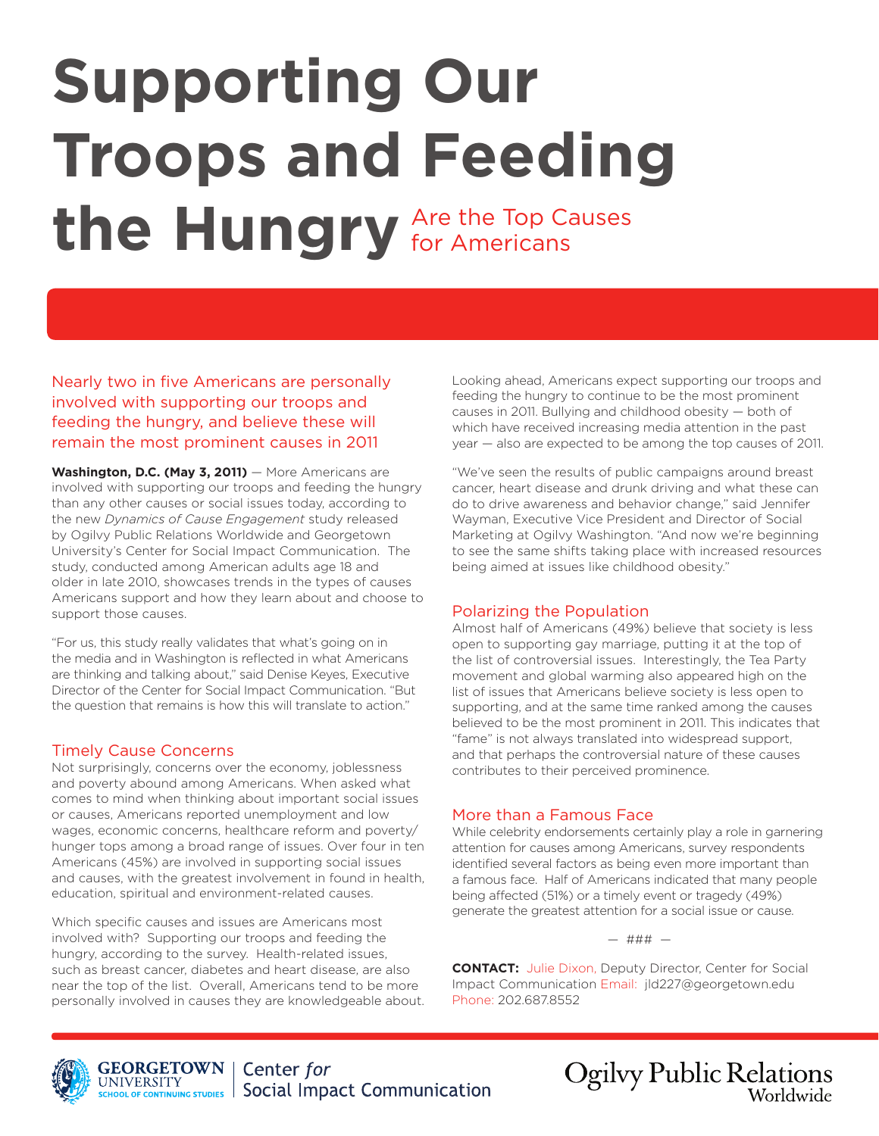# **Supporting Our Troops and Feeding**  the Hungry Are the Top Causes for Americans

Nearly two in five Americans are personally involved with supporting our troops and feeding the hungry, and believe these will remain the most prominent causes in 2011

Washington, D.C. (May 3, 2011) – More Americans are involved with supporting our troops and feeding the hungry than any other causes or social issues today, according to the new *Dynamics of Cause Engagement* study released by Ogilvy Public Relations Worldwide and Georgetown University's Center for Social Impact Communication. The study, conducted among American adults age 18 and older in late 2010, showcases trends in the types of causes Americans support and how they learn about and choose to support those causes.

"For us, this study really validates that what's going on in the media and in Washington is reflected in what Americans are thinking and talking about," said Denise Keyes, Executive Director of the Center for Social Impact Communication. "But the question that remains is how this will translate to action."

# Timely Cause Concerns

Not surprisingly, concerns over the economy, joblessness and poverty abound among Americans. When asked what comes to mind when thinking about important social issues or causes, Americans reported unemployment and low wages, economic concerns, healthcare reform and poverty/ hunger tops among a broad range of issues. Over four in ten Americans (45%) are involved in supporting social issues and causes, with the greatest involvement in found in health, education, spiritual and environment-related causes.

Which specific causes and issues are Americans most involved with? Supporting our troops and feeding the hungry, according to the survey. Health-related issues, such as breast cancer, diabetes and heart disease, are also near the top of the list. Overall, Americans tend to be more personally involved in causes they are knowledgeable about. Looking ahead, Americans expect supporting our troops and feeding the hungry to continue to be the most prominent causes in 2011. Bullying and childhood obesity — both of which have received increasing media attention in the past year — also are expected to be among the top causes of 2011.

"We've seen the results of public campaigns around breast cancer, heart disease and drunk driving and what these can do to drive awareness and behavior change," said Jennifer Wayman, Executive Vice President and Director of Social Marketing at Ogilvy Washington. "And now we're beginning to see the same shifts taking place with increased resources being aimed at issues like childhood obesity."

# Polarizing the Population

Almost half of Americans (49%) believe that society is less open to supporting gay marriage, putting it at the top of the list of controversial issues. Interestingly, the Tea Party movement and global warming also appeared high on the list of issues that Americans believe society is less open to supporting, and at the same time ranked among the causes believed to be the most prominent in 2011. This indicates that "fame" is not always translated into widespread support, and that perhaps the controversial nature of these causes contributes to their perceived prominence.

# More than a Famous Face

While celebrity endorsements certainly play a role in garnering attention for causes among Americans, survey respondents identified several factors as being even more important than a famous face. Half of Americans indicated that many people being affected (51%) or a timely event or tragedy (49%) generate the greatest attention for a social issue or cause.

— ### —

**CONTACT:** Julie Dixon, Deputy Director, Center for Social Impact Communication Email: jld227@georgetown.edu Phone: 202.687.8552



**Ogilvy Public Relations** Worldwide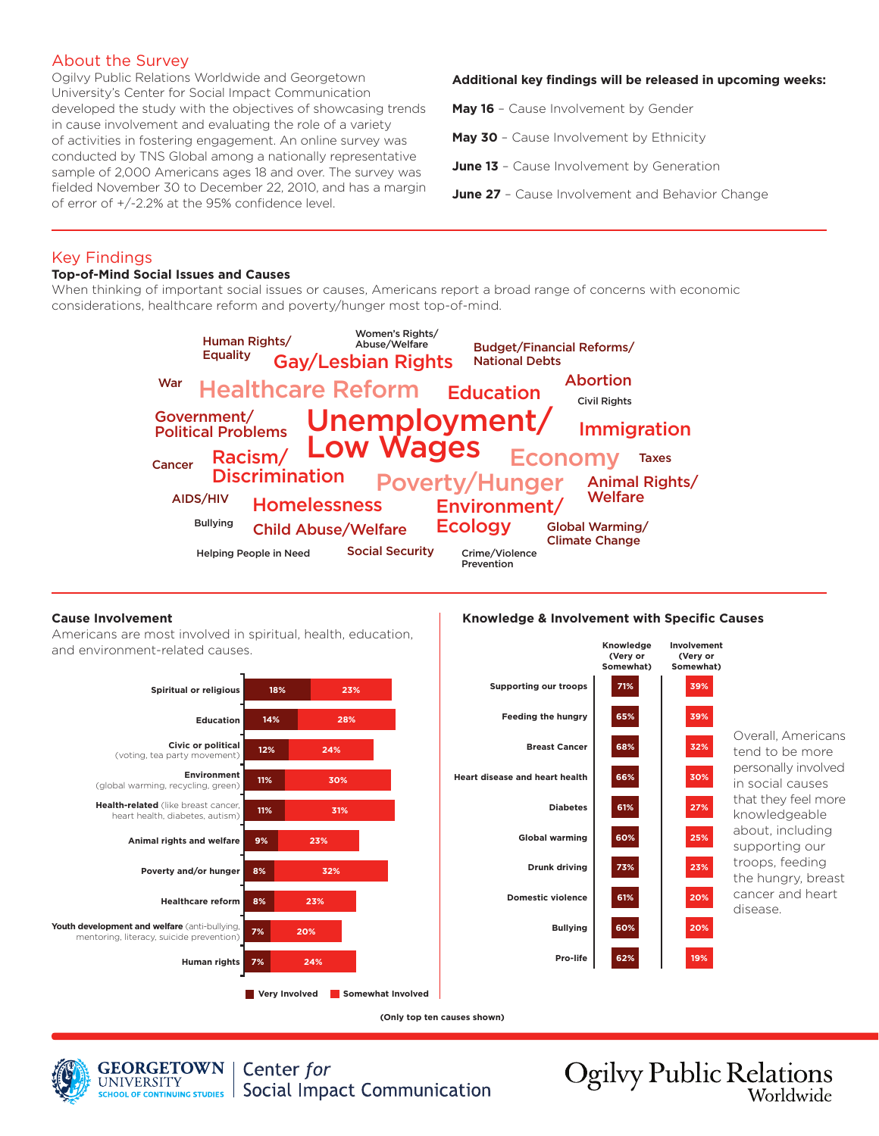# About the Survey

Ogilvy Public Relations Worldwide and Georgetown University's Center for Social Impact Communication developed the study with the objectives of showcasing trends in cause involvement and evaluating the role of a variety of activities in fostering engagement. An online survey was conducted by TNS Global among a nationally representative sample of 2,000 Americans ages 18 and over. The survey was fielded November 30 to December 22, 2010, and has a margin of error of +/-2.2% at the 95% confidence level.

### **Additional key findings will be released in upcoming weeks:**

**May 16** – Cause Involvement by Gender

**May 30** - Cause Involvement by Ethnicity

**June 13** - Cause Involvement by Generation

**June 27** - Cause Involvement and Behavior Change

## Key Findings

#### **Top-of-Mind Social Issues and Causes**

When thinking of important social issues or causes, Americans report a broad range of concerns with economic considerations, healthcare reform and poverty/hunger most top-of-mind.



#### **Cause Involvement**

Americans are most involved in spiritual, health, education, and environment-related causes.





Overall, Americans tend to be more personally involved in social causes that they feel more knowledgeable about, including supporting our troops, feeding the hungry, breast cancer and heart disease.

**(Only top ten causes shown)**



**GEORGETOWN** Center for **UNIVERSITY Social Impact Communication** SCHOOL OF CONTINUING STUDIES

**Ogilvy Public Relations** Worldwide

#### **Knowledge & Involvement with Specific Causes**